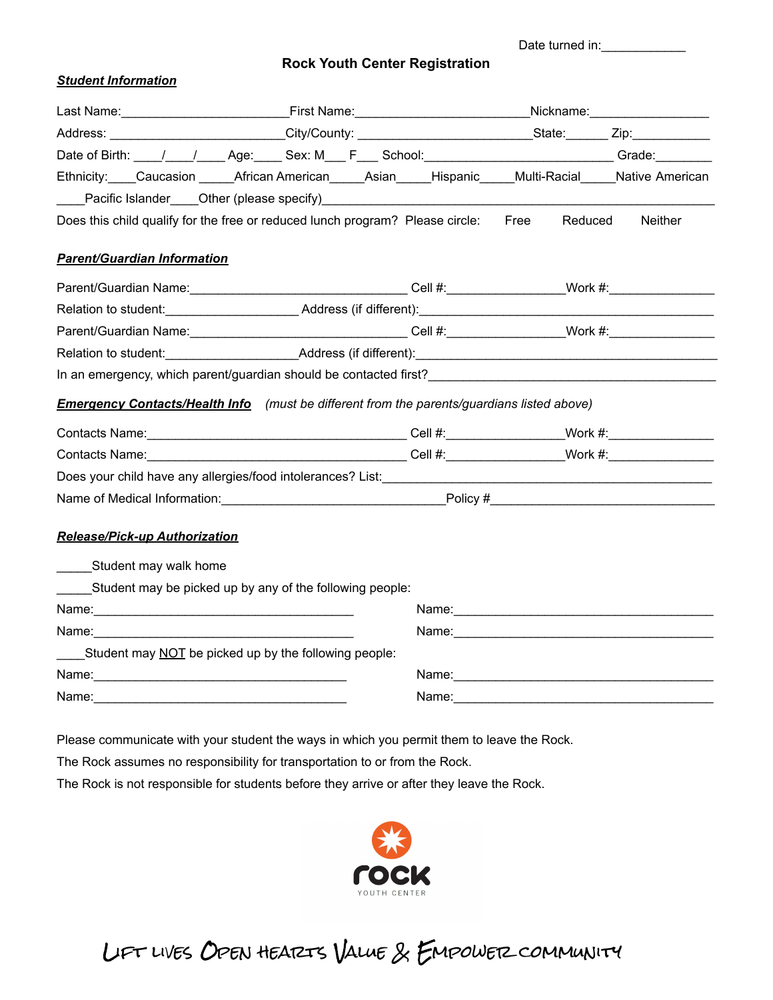Date turned in:\_\_\_\_\_\_\_\_\_\_\_\_

**Rock Youth Center Registration**

#### *Student Information*

|                                                                                                                                                                                                                                | Date of Birth: \big \times\left(\bigstare\) \times\left(\bigstare\) \times\left(\bigstare\) \times\left(\bigstare\) \times\left(\bigstare\) \times\left(\bigstare\) \times\left(\bigstare\) \times\left(\bigstare\) \times\lef     |  |                                                                                                                    |         |                                                                                                                |
|--------------------------------------------------------------------------------------------------------------------------------------------------------------------------------------------------------------------------------|------------------------------------------------------------------------------------------------------------------------------------------------------------------------------------------------------------------------------------|--|--------------------------------------------------------------------------------------------------------------------|---------|----------------------------------------------------------------------------------------------------------------|
|                                                                                                                                                                                                                                | Ethnicity: Caucasion African American Asian Hispanic Multi-Racial Native American                                                                                                                                                  |  |                                                                                                                    |         |                                                                                                                |
|                                                                                                                                                                                                                                | Pacific Islander Cher (please specify) Manual Chern Chern Chern Chern Chern Chern Chern Chern Chern Chern Cher                                                                                                                     |  |                                                                                                                    |         |                                                                                                                |
|                                                                                                                                                                                                                                | Does this child qualify for the free or reduced lunch program? Please circle: Free                                                                                                                                                 |  |                                                                                                                    | Reduced | Neither                                                                                                        |
| <b>Parent/Guardian Information</b>                                                                                                                                                                                             |                                                                                                                                                                                                                                    |  |                                                                                                                    |         |                                                                                                                |
| Parent/Guardian Name: ___________________________________Cell #: ________________Work #: ________________                                                                                                                      |                                                                                                                                                                                                                                    |  |                                                                                                                    |         |                                                                                                                |
|                                                                                                                                                                                                                                |                                                                                                                                                                                                                                    |  |                                                                                                                    |         |                                                                                                                |
|                                                                                                                                                                                                                                |                                                                                                                                                                                                                                    |  | Parent/Guardian Name: 1990 Martin 1990 March 2014: Cell #: North 2014 Mork #: Nork #: 1990 Mork #: 1990 March 2014 |         |                                                                                                                |
|                                                                                                                                                                                                                                |                                                                                                                                                                                                                                    |  |                                                                                                                    |         |                                                                                                                |
|                                                                                                                                                                                                                                | In an emergency, which parent/guardian should be contacted first?<br>The manufacture of the contract of the contacted first?<br>The manufacture of the contract of the contract of the contract of the contract of the contract of |  |                                                                                                                    |         |                                                                                                                |
|                                                                                                                                                                                                                                | <b>Emergency Contacts/Health Info</b> (must be different from the parents/guardians listed above)                                                                                                                                  |  |                                                                                                                    |         |                                                                                                                |
|                                                                                                                                                                                                                                |                                                                                                                                                                                                                                    |  |                                                                                                                    |         |                                                                                                                |
| Contacts Name: Name: Name: Name: Name: Name: Name: Name: Name: Name: Name: Name: Name: Name: Name: Name: Name: Name: Name: Name: Name: Name: Name: Name: Name: Name: Name: Name: Name: Name: Name: Name: Name: Name: Name: Nam |                                                                                                                                                                                                                                    |  |                                                                                                                    |         |                                                                                                                |
|                                                                                                                                                                                                                                |                                                                                                                                                                                                                                    |  |                                                                                                                    |         |                                                                                                                |
| Name of Medical Information: example and the example of Policy # Policy # Policy # Policy # Policy # Policy # Policy # Policy # Policy # Policy # Policy # Policy # Policy # Policy # Policy # Policy # Policy # Policy # Poli |                                                                                                                                                                                                                                    |  |                                                                                                                    |         |                                                                                                                |
| <b>Release/Pick-up Authorization</b>                                                                                                                                                                                           |                                                                                                                                                                                                                                    |  |                                                                                                                    |         |                                                                                                                |
| _______Student may walk home                                                                                                                                                                                                   |                                                                                                                                                                                                                                    |  |                                                                                                                    |         |                                                                                                                |
|                                                                                                                                                                                                                                | Student may be picked up by any of the following people:                                                                                                                                                                           |  |                                                                                                                    |         |                                                                                                                |
| Name: 2008. 2008. 2010. 2010. 2010. 2010. 2010. 2010. 2010. 2010. 2010. 2010. 2010. 2010. 2010. 2010. 2010. 20                                                                                                                 |                                                                                                                                                                                                                                    |  |                                                                                                                    |         | Name: Name:                                                                                                    |
| Name: Name and the state of the state of the state of the state of the state of the state of the state of the state of the state of the state of the state of the state of the state of the state of the state of the state of |                                                                                                                                                                                                                                    |  |                                                                                                                    |         | Name: 2008 2009 2010 2021 2022 2023 2024 2022 2022 2023 2024 2022 2023 2024 2022 2023 2024 2022 2023 2024 2022 |
| ____Student may NOT be picked up by the following people:                                                                                                                                                                      |                                                                                                                                                                                                                                    |  |                                                                                                                    |         |                                                                                                                |
| Name: 2008. 2009. 2010. 2010. 2010. 2010. 2010. 2010. 2010. 2010. 2010. 2010. 2010. 2010. 2010. 2010. 2010. 20                                                                                                                 |                                                                                                                                                                                                                                    |  |                                                                                                                    |         |                                                                                                                |
|                                                                                                                                                                                                                                |                                                                                                                                                                                                                                    |  |                                                                                                                    |         |                                                                                                                |

Please communicate with your student the ways in which you permit them to leave the Rock.

The Rock assumes no responsibility for transportation to or from the Rock.

The Rock is not responsible for students before they arrive or after they leave the Rock.



# Lift lives Open hearts Value & Empower community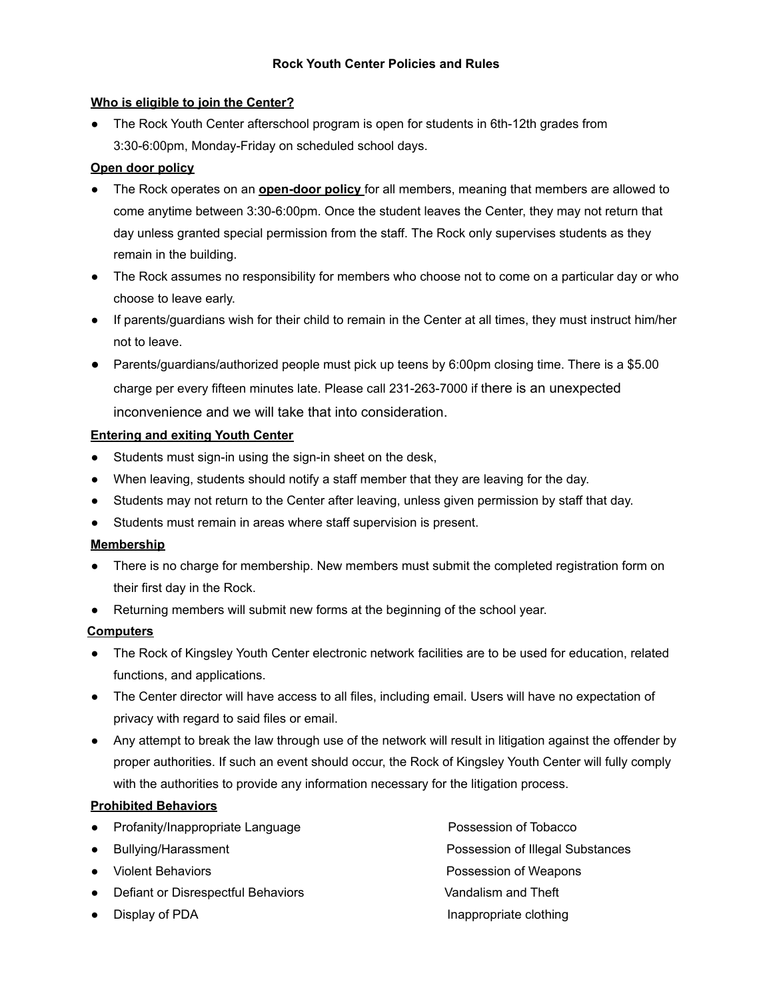#### **Who is eligible to join the Center?**

• The Rock Youth Center afterschool program is open for students in 6th-12th grades from 3:30-6:00pm, Monday-Friday on scheduled school days.

## **Open door policy**

- The Rock operates on an **open-door policy** for all members, meaning that members are allowed to come anytime between 3:30-6:00pm. Once the student leaves the Center, they may not return that day unless granted special permission from the staff. The Rock only supervises students as they remain in the building.
- The Rock assumes no responsibility for members who choose not to come on a particular day or who choose to leave early.
- If parents/guardians wish for their child to remain in the Center at all times, they must instruct him/her not to leave.
- Parents/guardians/authorized people must pick up teens by 6:00pm closing time. There is a \$5.00 charge per every fifteen minutes late. Please call 231-263-7000 if there is an unexpected inconvenience and we will take that into consideration.

#### **Entering and exiting Youth Center**

- **●** Students must sign-in using the sign-in sheet on the desk,
- **●** When leaving, students should notify a staff member that they are leaving for the day.
- **●** Students may not return to the Center after leaving, unless given permission by staff that day.
- **●** Students must remain in areas where staff supervision is present.

#### **Membership**

- **●** There is no charge for membership. New members must submit the completed registration form on their first day in the Rock.
- **●** Returning members will submit new forms at the beginning of the school year.

## **Computers**

- The Rock of Kingsley Youth Center electronic network facilities are to be used for education, related functions, and applications.
- The Center director will have access to all files, including email. Users will have no expectation of privacy with regard to said files or email.
- Any attempt to break the law through use of the network will result in litigation against the offender by proper authorities. If such an event should occur, the Rock of Kingsley Youth Center will fully comply with the authorities to provide any information necessary for the litigation process.

## **Prohibited Behaviors**

- Profanity/Inappropriate Language Possession of Tobacco
- 
- 
- Defiant or Disrespectful Behaviors **Vandalism and Theft**
- 

● Bullying/Harassment **Possession of Illegal Substances** ● Violent Behaviors Possession of Weapons Display of PDA **Inappropriate clothing**